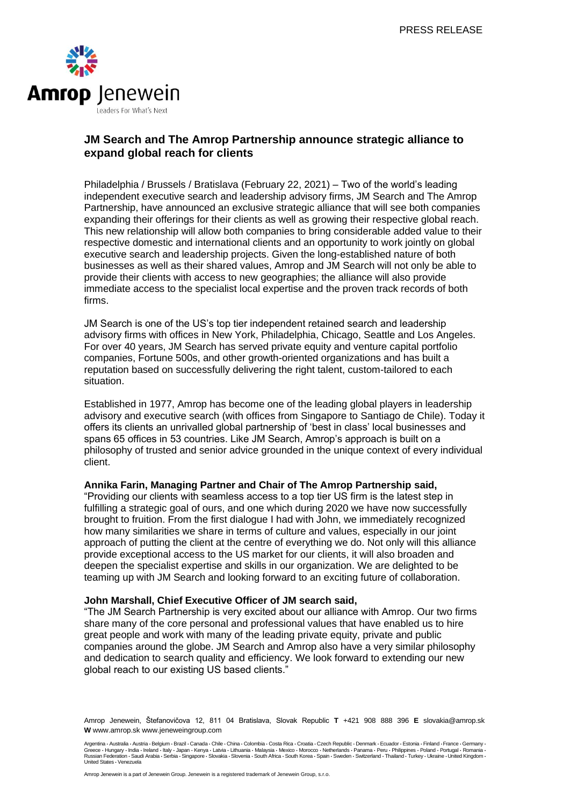

# **JM Search and The Amrop Partnership announce strategic alliance to expand global reach for clients**

Philadelphia / Brussels / Bratislava (February 22, 2021) – Two of the world's leading independent executive search and leadership advisory firms, JM Search and The Amrop Partnership, have announced an exclusive strategic alliance that will see both companies expanding their offerings for their clients as well as growing their respective global reach. This new relationship will allow both companies to bring considerable added value to their respective domestic and international clients and an opportunity to work jointly on global executive search and leadership projects. Given the long-established nature of both businesses as well as their shared values, Amrop and JM Search will not only be able to provide their clients with access to new geographies; the alliance will also provide immediate access to the specialist local expertise and the proven track records of both firms.

JM Search is one of the US's top tier independent retained search and leadership advisory firms with offices in New York, Philadelphia, Chicago, Seattle and Los Angeles. For over 40 years, JM Search has served private equity and venture capital portfolio companies, Fortune 500s, and other growth-oriented organizations and has built a reputation based on successfully delivering the right talent, custom-tailored to each situation.

Established in 1977, Amrop has become one of the leading global players in leadership advisory and executive search (with offices from Singapore to Santiago de Chile). Today it offers its clients an unrivalled global partnership of 'best in class' local businesses and spans 65 offices in 53 countries. Like JM Search, Amrop's approach is built on a philosophy of trusted and senior advice grounded in the unique context of every individual client.

### **Annika Farin, Managing Partner and Chair of The Amrop Partnership said,**

"Providing our clients with seamless access to a top tier US firm is the latest step in fulfilling a strategic goal of ours, and one which during 2020 we have now successfully brought to fruition. From the first dialogue I had with John, we immediately recognized how many similarities we share in terms of culture and values, especially in our joint approach of putting the client at the centre of everything we do. Not only will this alliance provide exceptional access to the US market for our clients, it will also broaden and deepen the specialist expertise and skills in our organization. We are delighted to be teaming up with JM Search and looking forward to an exciting future of collaboration.

#### **John Marshall, Chief Executive Officer of JM search said,**

"The JM Search Partnership is very excited about our alliance with Amrop. Our two firms share many of the core personal and professional values that have enabled us to hire great people and work with many of the leading private equity, private and public companies around the globe. JM Search and Amrop also have a very similar philosophy and dedication to search quality and efficiency. We look forward to extending our new global reach to our existing US based clients."

Amrop Jenewein, Štefanovičova 12, 811 04 Bratislava, Slovak Republic **T** +421 908 888 396 **E** slovakia@amrop.sk **W** www.amrop.sk www.jeneweingroup.com

Argentina ⋅ Australia ⋅ Austria ⋅ Belgium ⋅ Brazil ⋅ Canada ⋅ Chile ⋅ China ⋅ Colombia ⋅ Costa Ncach ⋅ Cach Nepublic ⋅ Denmark ⋅ Ecuador ⋅ Estonia ⋅ Finland ⋅ France ⋅ Germany ⋅<br>Greece ⋅ Hungary ⋅ India ⋅ Ireland ⋅ Italy Russian Federation • Saudi Arabia • Serbia • Singapore • Slovakia • Slovenia • South Africa • South Korea • Spain • Sweden • Switzerland • Thailand • Turkey • Ukraine • United Kingdom • United States • Venezuela

Amrop Jenewein is a part of Jenewein Group. Jenewein is a registered trademark of Jenewein Group, s.r.o.